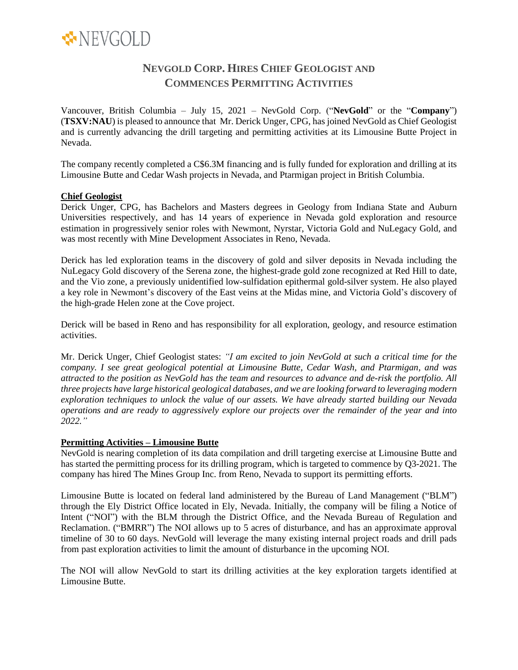

# **NEVGOLD CORP. HIRES CHIEF GEOLOGIST AND COMMENCES PERMITTING ACTIVITIES**

Vancouver, British Columbia – July 15, 2021 – NevGold Corp. ("**NevGold**" or the "**Company**") (**TSXV:NAU**) is pleased to announce that Mr. Derick Unger, CPG, has joined NevGold as Chief Geologist and is currently advancing the drill targeting and permitting activities at its Limousine Butte Project in Nevada.

The company recently completed a C\$6.3M financing and is fully funded for exploration and drilling at its Limousine Butte and Cedar Wash projects in Nevada, and Ptarmigan project in British Columbia.

### **Chief Geologist**

Derick Unger, CPG, has Bachelors and Masters degrees in Geology from Indiana State and Auburn Universities respectively, and has 14 years of experience in Nevada gold exploration and resource estimation in progressively senior roles with Newmont, Nyrstar, Victoria Gold and NuLegacy Gold, and was most recently with Mine Development Associates in Reno, Nevada.

Derick has led exploration teams in the discovery of gold and silver deposits in Nevada including the NuLegacy Gold discovery of the Serena zone, the highest-grade gold zone recognized at Red Hill to date, and the Vio zone, a previously unidentified low-sulfidation epithermal gold-silver system. He also played a key role in Newmont's discovery of the East veins at the Midas mine, and Victoria Gold's discovery of the high-grade Helen zone at the Cove project.

Derick will be based in Reno and has responsibility for all exploration, geology, and resource estimation activities.

Mr. Derick Unger, Chief Geologist states: *"I am excited to join NevGold at such a critical time for the company. I see great geological potential at Limousine Butte, Cedar Wash, and Ptarmigan, and was* attracted to the position as NevGold has the team and resources to advance and de-risk the portfolio. All *three projects have large historical geological databases, and we are looking forward to leveraging modern exploration techniques to unlock the value of our assets. We have already started building our Nevada operations and are ready to aggressively explore our projects over the remainder of the year and into 2022."*

# **Permitting Activities – Limousine Butte**

NevGold is nearing completion of its data compilation and drill targeting exercise at Limousine Butte and has started the permitting process for its drilling program, which is targeted to commence by Q3-2021. The company has hired The Mines Group Inc. from Reno, Nevada to support its permitting efforts.

Limousine Butte is located on federal land administered by the Bureau of Land Management ("BLM") through the Ely District Office located in Ely, Nevada. Initially, the company will be filing a Notice of Intent ("NOI") with the BLM through the District Office, and the Nevada Bureau of Regulation and Reclamation. ("BMRR") The NOI allows up to 5 acres of disturbance, and has an approximate approval timeline of 30 to 60 days. NevGold will leverage the many existing internal project roads and drill pads from past exploration activities to limit the amount of disturbance in the upcoming NOI.

The NOI will allow NevGold to start its drilling activities at the key exploration targets identified at Limousine Butte.